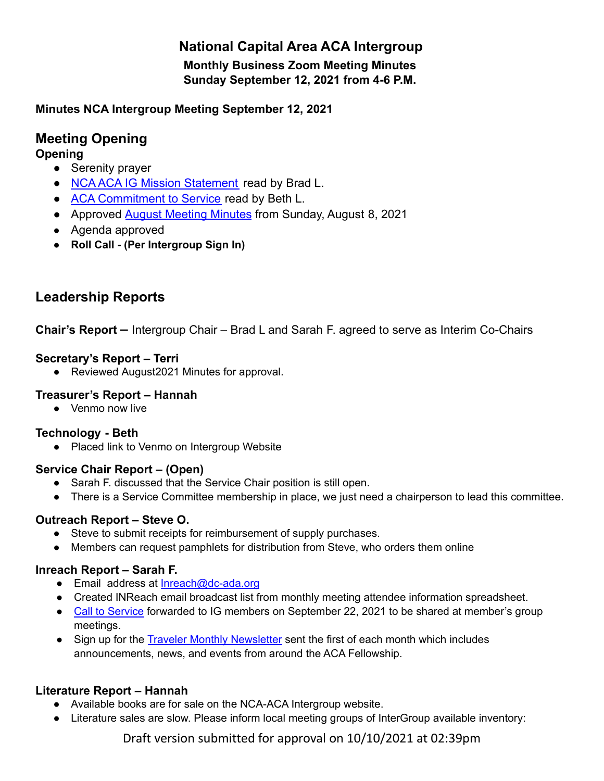# **National Capital Area ACA Intergroup**

**Monthly Business Zoom Meeting Minutes Sunday September 12, 2021 from 4-6 P.M.**

## **Minutes NCA Intergroup Meeting September 12, 2021**

# **Meeting Opening**

**Opening**

- **●** Serenity prayer
- **●** NCA [ACA IG Mission Statement](https://docs.google.com/document/d/1B3v57e_bulSl4UCyKt48lksbFwA63CijyEB4lGpiIgM/edit?usp=sharing) read by Brad L.
- **●** [ACA Commitment to Service](https://www.dc-aca.org/aca-commitment-to-service) read by Beth L.
- Approved [August Meeting Minutes](https://docs.google.com/document/d/1v2pqTWaI9FF02vwz-nAEY_h8WqNbE8lq/edit?usp=sharing&ouid=104607934255932803641&rtpof=true&sd=true) from Sunday, August 8, 2021
- **●** [Agenda approved](https://docs.google.com/document/d/1jWShO_MiuBpnzg0oS5YV9o_v7O8srgLY_9K0Xazb-LI/edit?usp=sharing)
- **● Roll Call - (Per Intergroup Sign In)**

# **Leadership Reports**

**Chair's Report –** Intergroup Chair – Brad L and Sarah F. agreed to serve as Interim Co-Chairs

## **Secretary's Report – Terri**

● Reviewed [August2021](https://d.docs.live.net/1a5aa982dcfa11e6/Documents/ACA/ACA%20Minutes%20June%202021.docx) Minutes for approval.

## **Treasurer's Report – Hannah**

● Venmo now live

## **Technology - Beth**

● Placed link to Venmo on Intergroup Website

## **Service Chair Report – (Open)**

- **●** Sarah F. discussed that the Service Chair position is still open.
- **●** There is a Service Committee membership in place, we just need a chairperson to lead this committee.

## **Outreach Report – Steve O.**

- Steve to submit receipts for reimbursement of supply purchases.
- Members can request pamphlets for distribution from Steve, who orders them online

## **Inreach Report – Sarah F.**

- Email address at **[Inreach@dc-ada.org](mailto:Inreach@dc-ada.org)**
- Created INReach email broadcast list from monthly meeting attendee information spreadsheet.
- Call to [Service](https://docs.google.com/document/d/1OGWUmIudtiq88WV28wer2QeWVEFBG4dz/edit?usp=sharing&ouid=104607934255932803641&rtpof=true&sd=true) forwarded to IG members on September 22, 2021 to be shared at member's group meetings.
- Sign up for the Traveler Monthly [Newsletter](https://adultchildren.org/newsletter/) sent the first of each month which includes announcements, news, and events from around the ACA Fellowship.

## **Literature Report – Hannah**

- **●** Available books are for sale on the NCA-ACA Intergroup website.
- **●** Literature sales are slow. Please inform local meeting groups of InterGroup available inventory:

Draft version submitted for approval on 10/10/2021 at 02:39pm